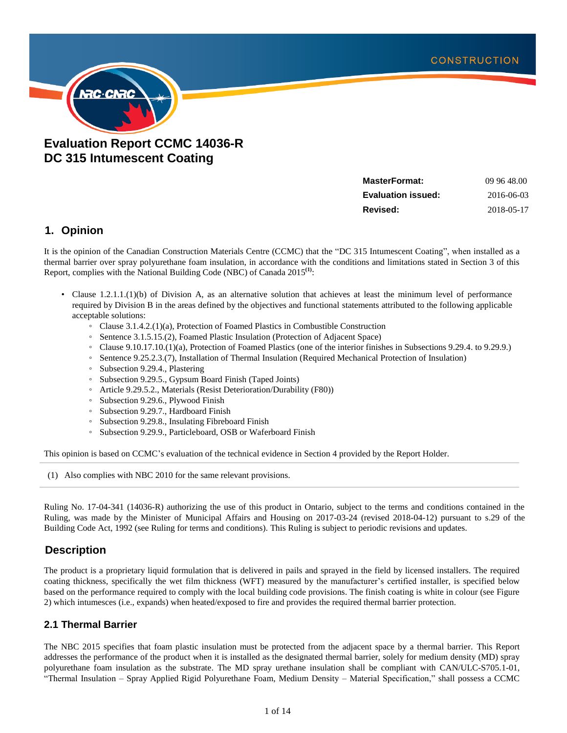

# **Evaluation Report CCMC 14036-R DC 315 Intumescent Coating**

| MasterFormat:      | 09 96 48.00 |
|--------------------|-------------|
| Evaluation issued: | 2016-06-03  |
| Revised:           | 2018-05-17  |

## **1. Opinion**

It is the opinion of the Canadian Construction Materials Centre (CCMC) that the "DC 315 Intumescent Coating", when installed as a thermal barrier over spray polyurethane foam insulation, in accordance with the conditions and limitations stated in Section 3 of this Report, complies with the National Building Code (NBC) of Canada 2015<sup>(1)</sup>:

- Clause 1.2.1.1.(1)(b) of Division A, as an alternative solution that achieves at least the minimum level of performance required by Division B in the areas defined by the objectives and functional statements attributed to the following applicable acceptable solutions:
	- Clause 3.1.4.2.(1)(a), Protection of Foamed Plastics in Combustible Construction
	- Sentence 3.1.5.15.(2), Foamed Plastic Insulation (Protection of Adjacent Space)
	- Clause 9.10.17.10.(1)(a), Protection of Foamed Plastics (one of the interior finishes in Subsections 9.29.4. to 9.29.9.)
	- Sentence 9.25.2.3.(7), Installation of Thermal Insulation (Required Mechanical Protection of Insulation)
	- Subsection 9.29.4., Plastering
	- Subsection 9.29.5., Gypsum Board Finish (Taped Joints)
	- Article 9.29.5.2., Materials (Resist Deterioration/Durability (F80))
	- Subsection 9.29.6., Plywood Finish
	- Subsection 9.29.7., Hardboard Finish
	- Subsection 9.29.8., Insulating Fibreboard Finish
	- Subsection 9.29.9., Particleboard, OSB or Waferboard Finish

This opinion is based on CCMC's evaluation of the technical evidence in Section 4 provided by the Report Holder.

(1) Also complies with NBC 2010 for the same relevant provisions.

Ruling No. 17-04-341 (14036-R) authorizing the use of this product in Ontario, subject to the terms and conditions contained in the Ruling, was made by the Minister of Municipal Affairs and Housing on 2017-03-24 (revised 2018-04-12) pursuant to s.29 of the Building Code Act, 1992 (see Ruling for terms and conditions). This Ruling is subject to periodic revisions and updates.

## **Description**

The product is a proprietary liquid formulation that is delivered in pails and sprayed in the field by licensed installers. The required coating thickness, specifically the wet film thickness (WFT) measured by the manufacturer's certified installer, is specified below based on the performance required to comply with the local building code provisions. The finish coating is white in colour (see Figure 2) which intumesces (i.e., expands) when heated/exposed to fire and provides the required thermal barrier protection.

### **2.1 Thermal Barrier**

The NBC 2015 specifies that foam plastic insulation must be protected from the adjacent space by a thermal barrier. This Report addresses the performance of the product when it is installed as the designated thermal barrier, solely for medium density (MD) spray polyurethane foam insulation as the substrate. The MD spray urethane insulation shall be compliant with CAN/ULC-S705.1-01, "Thermal Insulation – Spray Applied Rigid Polyurethane Foam, Medium Density – Material Specification," shall possess a CCMC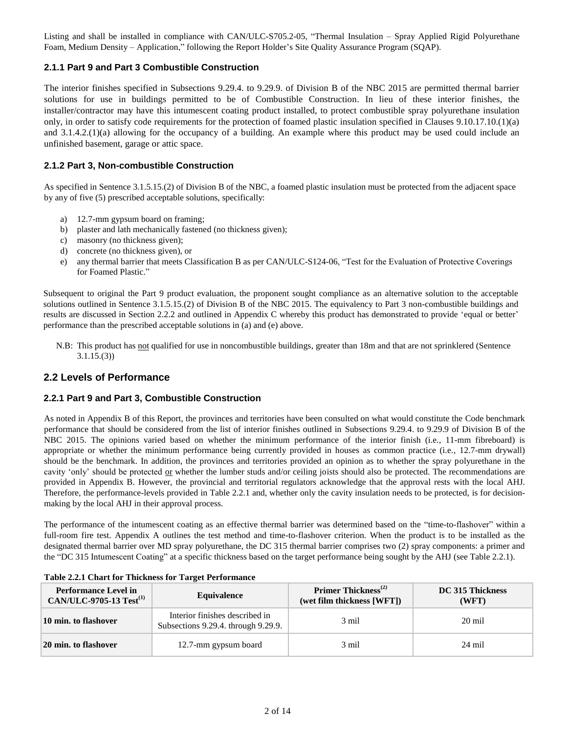Listing and shall be installed in compliance with CAN/ULC-S705.2-05, "Thermal Insulation – Spray Applied Rigid Polyurethane Foam, Medium Density – Application," following the Report Holder's Site Quality Assurance Program (SQAP).

### **2.1.1 Part 9 and Part 3 Combustible Construction**

The interior finishes specified in Subsections 9.29.4. to 9.29.9. of Division B of the NBC 2015 are permitted thermal barrier solutions for use in buildings permitted to be of Combustible Construction. In lieu of these interior finishes, the installer/contractor may have this intumescent coating product installed, to protect combustible spray polyurethane insulation only, in order to satisfy code requirements for the protection of foamed plastic insulation specified in Clauses 9.10.17.10.(1)(a) and 3.1.4.2.(1)(a) allowing for the occupancy of a building. An example where this product may be used could include an unfinished basement, garage or attic space.

### **2.1.2 Part 3, Non-combustible Construction**

As specified in Sentence 3.1.5.15.(2) of Division B of the NBC, a foamed plastic insulation must be protected from the adjacent space by any of five (5) prescribed acceptable solutions, specifically:

- a) 12.7-mm gypsum board on framing;
- b) plaster and lath mechanically fastened (no thickness given);
- c) masonry (no thickness given);
- d) concrete (no thickness given), or
- e) any thermal barrier that meets Classification B as per CAN/ULC-S124-06, "Test for the Evaluation of Protective Coverings for Foamed Plastic."

Subsequent to original the Part 9 product evaluation, the proponent sought compliance as an alternative solution to the acceptable solutions outlined in Sentence 3.1.5.15.(2) of Division B of the NBC 2015. The equivalency to Part 3 non-combustible buildings and results are discussed in Section 2.2.2 and outlined in Appendix C whereby this product has demonstrated to provide 'equal or better' performance than the prescribed acceptable solutions in (a) and (e) above.

N.B: This product has not qualified for use in noncombustible buildings, greater than 18m and that are not sprinklered (Sentence 3.1.15.(3))

### **2.2 Levels of Performance**

### **2.2.1 Part 9 and Part 3, Combustible Construction**

As noted in Appendix B of this Report, the provinces and territories have been consulted on what would constitute the Code benchmark performance that should be considered from the list of interior finishes outlined in Subsections 9.29.4. to 9.29.9 of Division B of the NBC 2015. The opinions varied based on whether the minimum performance of the interior finish (i.e., 11-mm fibreboard) is appropriate or whether the minimum performance being currently provided in houses as common practice (i.e., 12.7-mm drywall) should be the benchmark. In addition, the provinces and territories provided an opinion as to whether the spray polyurethane in the cavity 'only' should be protected or whether the lumber studs and/or ceiling joists should also be protected. The recommendations are provided in Appendix B. However, the provincial and territorial regulators acknowledge that the approval rests with the local AHJ. Therefore, the performance-levels provided in Table 2.2.1 and, whether only the cavity insulation needs to be protected, is for decisionmaking by the local AHJ in their approval process.

The performance of the intumescent coating as an effective thermal barrier was determined based on the "time-to-flashover" within a full-room fire test. Appendix A outlines the test method and time-to-flashover criterion. When the product is to be installed as the designated thermal barrier over MD spray polyurethane, the DC 315 thermal barrier comprises two (2) spray components: a primer and the "DC 315 Intumescent Coating" at a specific thickness based on the target performance being sought by the AHJ (see Table 2.2.1).

| <b>Performance Level in</b><br>CAN/ULC-9705-13 Test <sup>(1)</sup> | Equivalence                                                           | Primer Thickness <sup>(2)</sup><br>(wet film thickness [WFT]) | DC 315 Thickness<br>(WFT) |
|--------------------------------------------------------------------|-----------------------------------------------------------------------|---------------------------------------------------------------|---------------------------|
| 10 min. to flashover                                               | Interior finishes described in<br>Subsections 9.29.4. through 9.29.9. | 3 mil                                                         | 20 mil                    |
| 20 min. to flashover                                               | 12.7-mm gypsum board                                                  | 3 mil                                                         | 24 mil                    |

**Table 2.2.1 Chart for Thickness for Target Performance**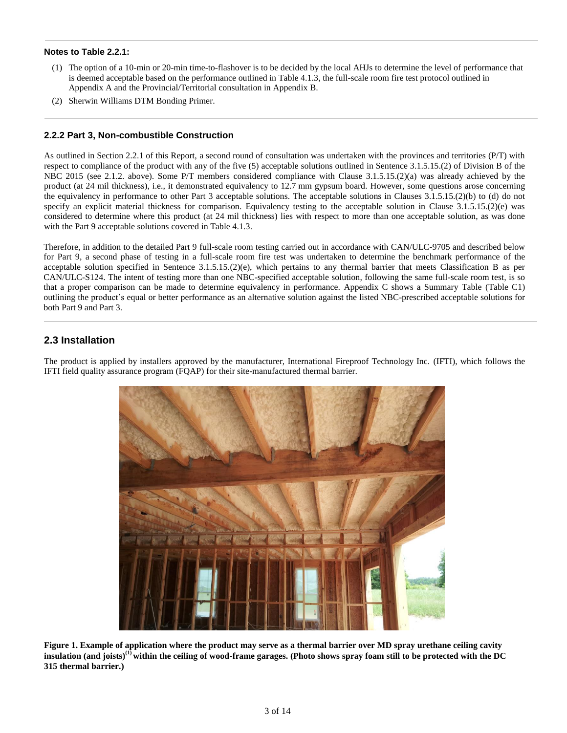### **Notes to Table 2.2.1:**

- (1) The option of a 10-min or 20-min time-to-flashover is to be decided by the local AHJs to determine the level of performance that is deemed acceptable based on the performance outlined in Table 4.1.3, the full-scale room fire test protocol outlined in Appendix A and the Provincial/Territorial consultation in Appendix B.
- (2) Sherwin Williams DTM Bonding Primer.

### **2.2.2 Part 3, Non-combustible Construction**

As outlined in Section 2.2.1 of this Report, a second round of consultation was undertaken with the provinces and territories (P/T) with respect to compliance of the product with any of the five (5) acceptable solutions outlined in Sentence 3.1.5.15.(2) of Division B of the NBC 2015 (see 2.1.2. above). Some P/T members considered compliance with Clause 3.1.5.15.(2)(a) was already achieved by the product (at 24 mil thickness), i.e., it demonstrated equivalency to 12.7 mm gypsum board. However, some questions arose concerning the equivalency in performance to other Part 3 acceptable solutions. The acceptable solutions in Clauses 3.1.5.15.(2)(b) to (d) do not specify an explicit material thickness for comparison. Equivalency testing to the acceptable solution in Clause 3.1.5.15.(2)(e) was considered to determine where this product (at 24 mil thickness) lies with respect to more than one acceptable solution, as was done with the Part 9 acceptable solutions covered in Table 4.1.3.

Therefore, in addition to the detailed Part 9 full-scale room testing carried out in accordance with CAN/ULC-9705 and described below for Part 9, a second phase of testing in a full-scale room fire test was undertaken to determine the benchmark performance of the acceptable solution specified in Sentence 3.1.5.15.(2)(e), which pertains to any thermal barrier that meets Classification B as per CAN/ULC-S124. The intent of testing more than one NBC-specified acceptable solution, following the same full-scale room test, is so that a proper comparison can be made to determine equivalency in performance. Appendix C shows a Summary Table (Table C1) outlining the product's equal or better performance as an alternative solution against the listed NBC-prescribed acceptable solutions for both Part 9 and Part 3.

### **2.3 Installation**

The product is applied by installers approved by the manufacturer, International Fireproof Technology Inc. (IFTI), which follows the IFTI field quality assurance program (FQAP) for their site-manufactured thermal barrier.



**Figure 1. Example of application where the product may serve as a thermal barrier over MD spray urethane ceiling cavity insulation (and joists)(1) within the ceiling of wood-frame garages. (Photo shows spray foam still to be protected with the DC 315 thermal barrier.)**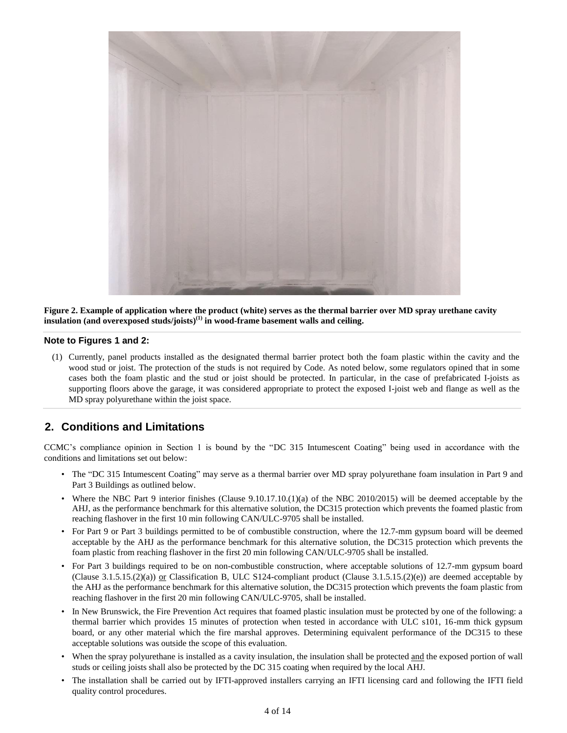

**Figure 2. Example of application where the product (white) serves as the thermal barrier over MD spray urethane cavity insulation (and overexposed studs/joists) (1) in wood-frame basement walls and ceiling.**

#### **Note to Figures 1 and 2:**

(1) Currently, panel products installed as the designated thermal barrier protect both the foam plastic within the cavity and the wood stud or joist. The protection of the studs is not required by Code. As noted below, some regulators opined that in some cases both the foam plastic and the stud or joist should be protected. In particular, in the case of prefabricated I-joists as supporting floors above the garage, it was considered appropriate to protect the exposed I-joist web and flange as well as the MD spray polyurethane within the joist space.

## **2. Conditions and Limitations**

CCMC's compliance opinion in Section 1 is bound by the "DC 315 Intumescent Coating" being used in accordance with the conditions and limitations set out below:

- The "DC 315 Intumescent Coating" may serve as a thermal barrier over MD spray polyurethane foam insulation in Part 9 and Part 3 Buildings as outlined below.
- Where the NBC Part 9 interior finishes (Clause 9.10.17.10.(1)(a) of the NBC 2010/2015) will be deemed acceptable by the AHJ, as the performance benchmark for this alternative solution, the DC315 protection which prevents the foamed plastic from reaching flashover in the first 10 min following CAN/ULC-9705 shall be installed.
- For Part 9 or Part 3 buildings permitted to be of combustible construction, where the 12.7-mm gypsum board will be deemed acceptable by the AHJ as the performance benchmark for this alternative solution, the DC315 protection which prevents the foam plastic from reaching flashover in the first 20 min following CAN/ULC-9705 shall be installed.
- For Part 3 buildings required to be on non-combustible construction, where acceptable solutions of 12.7-mm gypsum board (Clause 3.1.5.15.(2)(a)) or Classification B, ULC S124-compliant product (Clause 3.1.5.15.(2)(e)) are deemed acceptable by the AHJ as the performance benchmark for this alternative solution, the DC315 protection which prevents the foam plastic from reaching flashover in the first 20 min following CAN/ULC-9705, shall be installed.
- In New Brunswick, the Fire Prevention Act requires that foamed plastic insulation must be protected by one of the following: a thermal barrier which provides 15 minutes of protection when tested in accordance with ULC s101, 16-mm thick gypsum board, or any other material which the fire marshal approves. Determining equivalent performance of the DC315 to these acceptable solutions was outside the scope of this evaluation.
- When the spray polyurethane is installed as a cavity insulation, the insulation shall be protected and the exposed portion of wall studs or ceiling joists shall also be protected by the DC 315 coating when required by the local AHJ.
- The installation shall be carried out by IFTI-approved installers carrying an IFTI licensing card and following the IFTI field quality control procedures.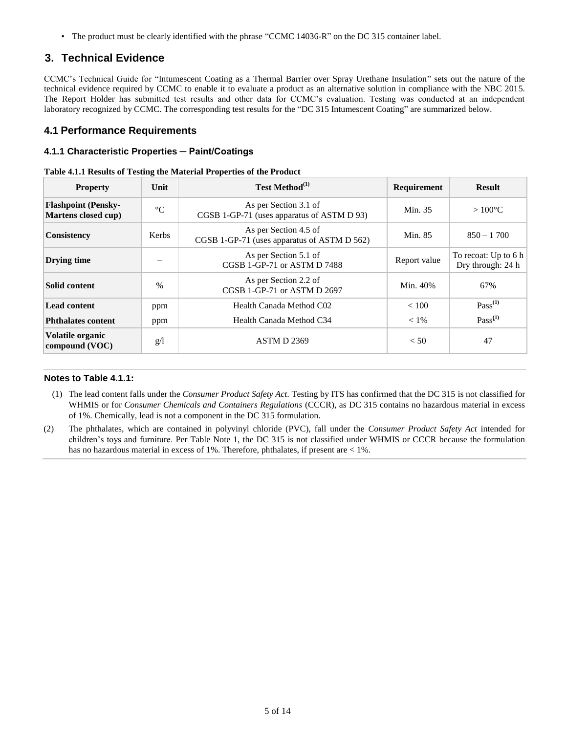• The product must be clearly identified with the phrase "CCMC 14036-R" on the DC 315 container label.

### **3. Technical Evidence**

CCMC's Technical Guide for "Intumescent Coating as a Thermal Barrier over Spray Urethane Insulation" sets out the nature of the technical evidence required by CCMC to enable it to evaluate a product as an alternative solution in compliance with the NBC 2015. The Report Holder has submitted test results and other data for CCMC's evaluation. Testing was conducted at an independent laboratory recognized by CCMC. The corresponding test results for the "DC 315 Intumescent Coating" are summarized below.

### **4.1 Performance Requirements**

### **4.1.1 Characteristic Properties ─ Paint/Coatings**

|  | Table 4.1.1 Results of Testing the Material Properties of the Product |  |  |
|--|-----------------------------------------------------------------------|--|--|
|  |                                                                       |  |  |

| <b>Property</b>                                   | Unit            | Test Method <sup>(1)</sup>                                           | Requirement  | <b>Result</b>                               |
|---------------------------------------------------|-----------------|----------------------------------------------------------------------|--------------|---------------------------------------------|
| <b>Flashpoint (Pensky-</b><br>Martens closed cup) | $\rm ^{\circ}C$ | As per Section 3.1 of<br>CGSB 1-GP-71 (uses apparatus of ASTM D 93)  | Min. 35      | $>100^{\circ}$ C                            |
| Consistency                                       | Kerbs           | As per Section 4.5 of<br>CGSB 1-GP-71 (uses apparatus of ASTM D 562) | Min. 85      | $850 - 1700$                                |
| Drying time                                       |                 | As per Section 5.1 of<br>CGSB 1-GP-71 or ASTM D 7488                 | Report value | To recoat: Up to $6 h$<br>Dry through: 24 h |
| Solid content                                     | $\frac{0}{0}$   | As per Section 2.2 of<br>CGSB 1-GP-71 or ASTM D 2697                 | Min. 40%     | 67%                                         |
| <b>Lead content</b>                               | ppm             | Health Canada Method C02                                             | < 100        | $Pass^{(1)}$                                |
| <b>Phthalates content</b>                         | ppm             | Health Canada Method C34                                             | $< 1\%$      | $Pass^{(1)}$                                |
| Volatile organic<br>compound (VOC)                | g/1             | <b>ASTM D 2369</b>                                                   | < 50         | 47                                          |

#### **Notes to Table 4.1.1:**

- (1) The lead content falls under the *Consumer Product Safety Act*. Testing by ITS has confirmed that the DC 315 is not classified for WHMIS or for *Consumer Chemicals and Containers Regulations* (CCCR), as DC 315 contains no hazardous material in excess of 1%. Chemically, lead is not a component in the DC 315 formulation.
- (2) The phthalates, which are contained in polyvinyl chloride (PVC), fall under the *Consumer Product Safety Act* intended for children's toys and furniture. Per Table Note 1, the DC 315 is not classified under WHMIS or CCCR because the formulation has no hazardous material in excess of 1%. Therefore, phthalates, if present are  $< 1\%$ .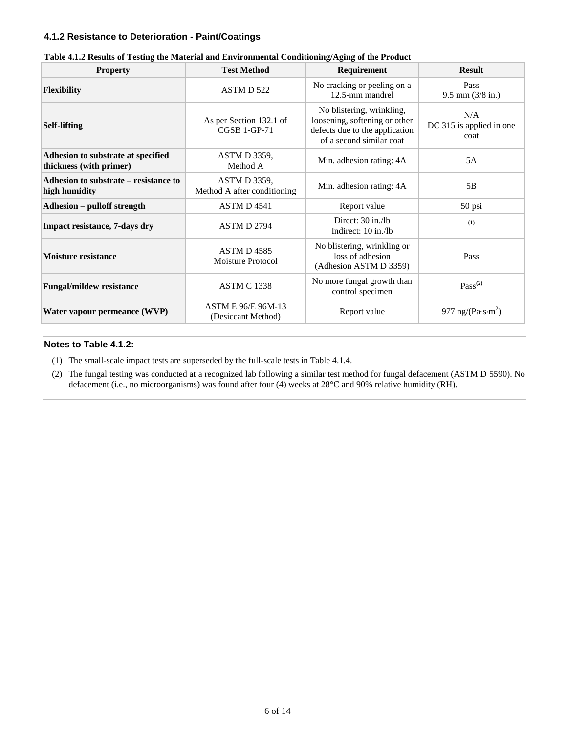### **4.1.2 Resistance to Deterioration - Paint/Coatings**

| <b>Property</b>                                               | <b>Test Method</b>                                 | Requirement                                                                                                              | <b>Result</b>                           |
|---------------------------------------------------------------|----------------------------------------------------|--------------------------------------------------------------------------------------------------------------------------|-----------------------------------------|
| <b>Flexibility</b>                                            | ASTM D 522                                         | No cracking or peeling on a<br>12.5-mm mandrel                                                                           | Pass<br>$9.5$ mm $(3/8$ in.)            |
| <b>Self-lifting</b>                                           | As per Section 132.1 of<br><b>CGSB 1-GP-71</b>     | No blistering, wrinkling,<br>loosening, softening or other<br>defects due to the application<br>of a second similar coat | N/A<br>DC 315 is applied in one<br>coat |
| Adhesion to substrate at specified<br>thickness (with primer) | <b>ASTM D 3359.</b><br>Method A                    | Min. adhesion rating: 4A                                                                                                 | 5A                                      |
| Adhesion to substrate – resistance to<br>high humidity        | <b>ASTM D 3359,</b><br>Method A after conditioning | Min. adhesion rating: 4A                                                                                                 | 5B                                      |
| <b>Adhesion – pulloff strength</b>                            | <b>ASTM D 4541</b>                                 | Report value                                                                                                             | 50 psi                                  |
| <b>Impact resistance, 7-days dry</b>                          | <b>ASTM D 2794</b>                                 | Direct: 30 in./lb<br>Indirect: 10 in./lb                                                                                 | (1)                                     |
| <b>Moisture resistance</b>                                    | ASTM D 4585<br><b>Moisture Protocol</b>            | No blistering, wrinkling or<br>loss of adhesion<br>(Adhesion ASTM D 3359)                                                | Pass                                    |
| <b>Fungal/mildew resistance</b>                               | <b>ASTM C 1338</b>                                 | No more fungal growth than<br>control specimen                                                                           | $Pass^{(2)}$                            |
| Water vapour permeance (WVP)                                  | ASTM E 96/E 96M-13<br>(Desiccant Method)           | Report value                                                                                                             | 977 ng/(Pa $\cdot$ s·m <sup>2</sup> )   |

|  | Table 4.1.2 Results of Testing the Material and Environmental Conditioning/Aging of the Product |
|--|-------------------------------------------------------------------------------------------------|
|  |                                                                                                 |

### **Notes to Table 4.1.2:**

(1) The small-scale impact tests are superseded by the full-scale tests in Table 4.1.4.

(2) The fungal testing was conducted at a recognized lab following a similar test method for fungal defacement (ASTM D 5590). No defacement (i.e., no microorganisms) was found after four (4) weeks at 28°C and 90% relative humidity (RH).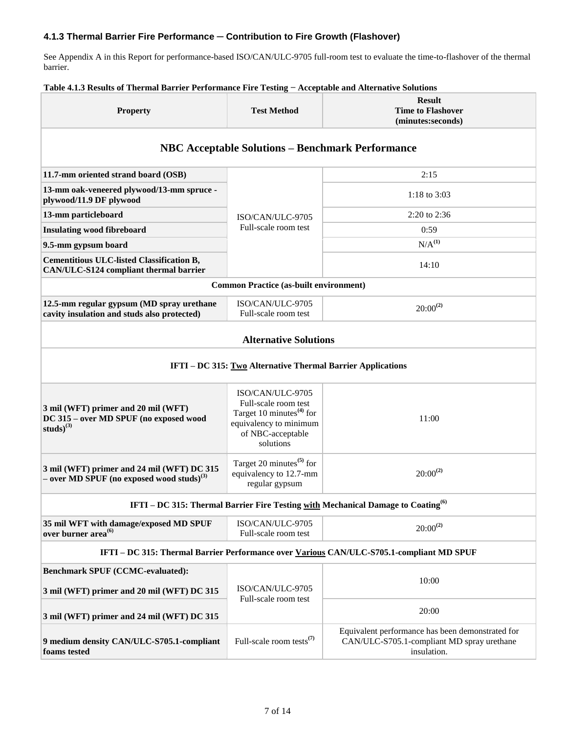### **4.1.3 Thermal Barrier Fire Performance ─ Contribution to Fire Growth (Flashover)**

See Appendix A in this Report for performance-based ISO/CAN/ULC-9705 full-room test to evaluate the time-to-flashover of the thermal barrier.

#### **Property Test Method Result Time to Flashover (minutes:seconds) NBC Acceptable Solutions – Benchmark Performance 11.7-mm oriented strand board (OSB)** ISO/CAN/ULC-9705 Full-scale room test 2:15 **13-mm oak-veneered plywood/13-mm spruce plywood/11.9 DF plywood 1.3-mm spruce 1:18 to 3:03**<br>**plywood/11.9 DF plywood 13-mm particleboard** 2:20 to 2:36 **Insulating wood fibreboard** and the called the called the called the called of the called of the called of the called of the called of the called of the called of the called of the called of the called of the called of th **9.5-mm gypsum board** N/A<sup>(1)</sup> **Cementitious ULC-listed Classification B, Candidate Canadian Canadian Canadian CAN/ULC-S124 compliant thermal barrier** 14:10 **Common Practice (as-built environment) 12.5-mm regular gypsum (MD spray urethane cavity insulation and studs also protected)** ISO/CAN/ULC-9705  $\frac{\text{SUV-conv}(\text{UL}-9/05)}{\text{Full-scale room test}}$  20:00<sup>(2)</sup> **Alternative Solutions IFTI – DC 315: Two Alternative Thermal Barrier Applications (i) 3 mil (WFT) primer and 20 mil (WFT) DC 315 – over MD SPUF (no exposed wood studs)(3)** ISO/CAN/ULC-9705 Full-scale room test Target 10 minutes**(4)** for equivalency to minimum of NBC-acceptable solutions 11:00 **3 mil (WFT) primer and 24 mil (WFT) DC 315 – over MD SPUF (no exposed wood studs)(3)** Target 20 minutes**(5)** for equivalency to 12.7-mm regular gypsum 20:00**(2) IFTI – DC 315: Thermal Barrier Fire Testing with Mechanical Damage to Coating(6) 35 mil WFT with damage/exposed MD SPUF over burner area(6)** ISO/CAN/ULC-9705  $Full-scale room test$  20:00<sup>(2)</sup> **IFTI – DC 315: Thermal Barrier Performance over Various CAN/ULC-S705.1-compliant MD SPUF Benchmark SPUF (CCMC-evaluated): 3 mil (WFT) primer and 20 mil (WFT) DC 315** ISO/CAN/ULC-9705 Full-scale room test 10:00 **3 mil (WFT) primer and 24 mil (WFT) DC 315** 20:00 **9 medium density CAN/ULC-S705.1-compliant foams tested** Full-scale room tests**(7)** Equivalent performance has been demonstrated for CAN/ULC-S705.1-compliant MD spray urethane insulation.

#### **Table 4.1.3 Results of Thermal Barrier Performance Fire Testing − Acceptable and Alternative Solutions**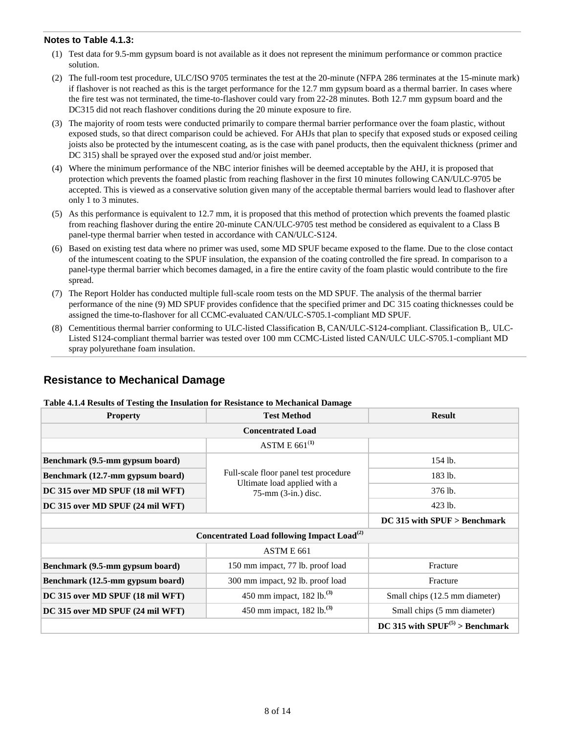### **Notes to Table 4.1.3:**

- (1) Test data for 9.5-mm gypsum board is not available as it does not represent the minimum performance or common practice solution.
- (2) The full-room test procedure, ULC/ISO 9705 terminates the test at the 20-minute (NFPA 286 terminates at the 15-minute mark) if flashover is not reached as this is the target performance for the 12.7 mm gypsum board as a thermal barrier. In cases where the fire test was not terminated, the time-to-flashover could vary from 22-28 minutes. Both 12.7 mm gypsum board and the DC315 did not reach flashover conditions during the 20 minute exposure to fire.
- (3) The majority of room tests were conducted primarily to compare thermal barrier performance over the foam plastic, without exposed studs, so that direct comparison could be achieved. For AHJs that plan to specify that exposed studs or exposed ceiling joists also be protected by the intumescent coating, as is the case with panel products, then the equivalent thickness (primer and DC 315) shall be sprayed over the exposed stud and/or joist member.
- (4) Where the minimum performance of the NBC interior finishes will be deemed acceptable by the AHJ, it is proposed that protection which prevents the foamed plastic from reaching flashover in the first 10 minutes following CAN/ULC-9705 be accepted. This is viewed as a conservative solution given many of the acceptable thermal barriers would lead to flashover after only 1 to 3 minutes.
- (5) As this performance is equivalent to 12.7 mm, it is proposed that this method of protection which prevents the foamed plastic from reaching flashover during the entire 20-minute CAN/ULC-9705 test method be considered as equivalent to a Class B panel-type thermal barrier when tested in accordance with CAN/ULC-S124.
- (6) Based on existing test data where no primer was used, some MD SPUF became exposed to the flame. Due to the close contact of the intumescent coating to the SPUF insulation, the expansion of the coating controlled the fire spread. In comparison to a panel-type thermal barrier which becomes damaged, in a fire the entire cavity of the foam plastic would contribute to the fire spread.
- (7) The Report Holder has conducted multiple full-scale room tests on the MD SPUF. The analysis of the thermal barrier performance of the nine (9) MD SPUF provides confidence that the specified primer and DC 315 coating thicknesses could be assigned the time-to-flashover for all CCMC-evaluated CAN/ULC-S705.1-compliant MD SPUF.
- (8) Cementitious thermal barrier conforming to ULC-listed Classification B, CAN/ULC-S124-compliant. Classification B,. ULC-Listed S124-compliant thermal barrier was tested over 100 mm CCMC-Listed listed CAN/ULC ULC-S705.1-compliant MD spray polyurethane foam insulation.

## **Resistance to Mechanical Damage**

### **Table 4.1.4 Results of Testing the Insulation for Resistance to Mechanical Damage**

| <b>Property</b>                  | <b>Test Method</b>                                     | <b>Result</b>                        |  |  |  |
|----------------------------------|--------------------------------------------------------|--------------------------------------|--|--|--|
| <b>Concentrated Load</b>         |                                                        |                                      |  |  |  |
|                                  | ASTM E $661^{(1)}$                                     |                                      |  |  |  |
| Benchmark (9.5-mm gypsum board)  |                                                        | 154 lb.                              |  |  |  |
| Benchmark (12.7-mm gypsum board) | Full-scale floor panel test procedure                  | 183 lb.                              |  |  |  |
| DC 315 over MD SPUF (18 mil WFT) | Ultimate load applied with a<br>75-mm (3-in.) disc.    | 376 lb.                              |  |  |  |
| DC 315 over MD SPUF (24 mil WFT) |                                                        | 423 lb.                              |  |  |  |
| $DC$ 315 with SPUF $>$ Benchmark |                                                        |                                      |  |  |  |
|                                  | Concentrated Load following Impact Load <sup>(2)</sup> |                                      |  |  |  |
|                                  | ASTM E 661                                             |                                      |  |  |  |
| Benchmark (9.5-mm gypsum board)  | 150 mm impact, 77 lb. proof load                       | Fracture                             |  |  |  |
| Benchmark (12.5-mm gypsum board) | 300 mm impact, 92 lb. proof load                       | Fracture                             |  |  |  |
| DC 315 over MD SPUF (18 mil WFT) | 450 mm impact, 182 lb. <sup>(3)</sup>                  | Small chips (12.5 mm diameter)       |  |  |  |
| DC 315 over MD SPUF (24 mil WFT) | 450 mm impact, 182 lb. <sup>(3)</sup>                  | Small chips (5 mm diameter)          |  |  |  |
|                                  |                                                        | DC 315 with $SPUF^{(5)} >$ Benchmark |  |  |  |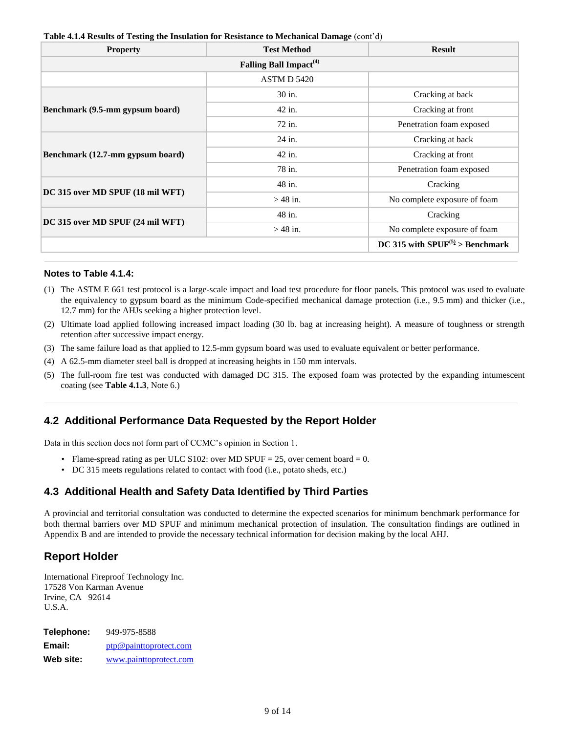| <b>Property</b>                  | <b>Test Method</b>                 | <b>Result</b>                        |
|----------------------------------|------------------------------------|--------------------------------------|
|                                  | Falling Ball Impact <sup>(4)</sup> |                                      |
|                                  | <b>ASTM D 5420</b>                 |                                      |
|                                  | 30 in.                             | Cracking at back                     |
| Benchmark (9.5-mm gypsum board)  | 42 in.                             | Cracking at front                    |
|                                  | 72 in.                             | Penetration foam exposed             |
|                                  | 24 in.                             | Cracking at back                     |
| Benchmark (12.7-mm gypsum board) | 42 in.                             | Cracking at front                    |
|                                  | 78 in.                             | Penetration foam exposed             |
|                                  | 48 in.                             | Cracking                             |
| DC 315 over MD SPUF (18 mil WFT) | $>$ 48 in.                         | No complete exposure of foam         |
| DC 315 over MD SPUF (24 mil WFT) | 48 in.                             | Cracking                             |
|                                  | $>$ 48 in.                         | No complete exposure of foam         |
|                                  |                                    | DC 315 with $SPUF^{(5)} >$ Benchmark |

### **Table 4.1.4 Results of Testing the Insulation for Resistance to Mechanical Damage** (cont'd)

### **Notes to Table 4.1.4:**

- (1) The ASTM E 661 test protocol is a large-scale impact and load test procedure for floor panels. This protocol was used to evaluate the equivalency to gypsum board as the minimum Code-specified mechanical damage protection (i.e., 9.5 mm) and thicker (i.e., 12.7 mm) for the AHJs seeking a higher protection level.
- (2) Ultimate load applied following increased impact loading (30 lb. bag at increasing height). A measure of toughness or strength retention after successive impact energy.
- (3) The same failure load as that applied to 12.5-mm gypsum board was used to evaluate equivalent or better performance.
- (4) A 62.5-mm diameter steel ball is dropped at increasing heights in 150 mm intervals.
- (5) The full-room fire test was conducted with damaged DC 315. The exposed foam was protected by the expanding intumescent coating (see **Table 4.1.3**, Note 6.)

## **4.2 Additional Performance Data Requested by the Report Holder**

Data in this section does not form part of CCMC's opinion in Section 1.

- Flame-spread rating as per ULC S102: over MD SPUF = 25, over cement board = 0.
- DC 315 meets regulations related to contact with food (i.e., potato sheds, etc.)

## **4.3 Additional Health and Safety Data Identified by Third Parties**

A provincial and territorial consultation was conducted to determine the expected scenarios for minimum benchmark performance for both thermal barriers over MD SPUF and minimum mechanical protection of insulation. The consultation findings are outlined in Appendix B and are intended to provide the necessary technical information for decision making by the local AHJ.

## **Report Holder**

International Fireproof Technology Inc. 17528 Von Karman Avenue Irvine, CA 92614 U.S.A.

| Telephone: | 949-975-8588           |
|------------|------------------------|
| Email:     | ptp@painttoprotect.com |
| Web site:  | www.painttoprotect.com |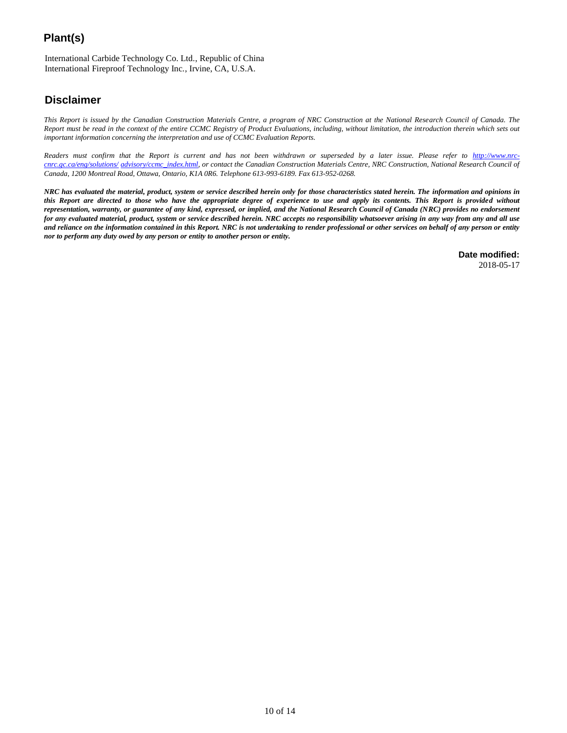# **Plant(s)**

International Carbide Technology Co. Ltd., Republic of China International Fireproof Technology Inc., Irvine, CA, U.S.A.

## **Disclaimer**

*This Report is issued by the Canadian Construction Materials Centre, a program of NRC Construction at the National Research Council of Canada. The Report must be read in the context of the entire CCMC Registry of Product Evaluations, including, without limitation, the introduction therein which sets out important information concerning the interpretation and use of CCMC Evaluation Reports.*

Readers must confirm that the Report is current and has not been withdrawn or superseded by a later issue. Please refer to [http://www.nrc](http://www.nrc-cnrc.gc.ca/eng/solutions/advisory/ccmc_index.html)*[cnrc.gc.ca/eng/solutions/](http://www.nrc-cnrc.gc.ca/eng/solutions/advisory/ccmc_index.html) [advisory/ccmc\\_index.html,](http://www.nrc-cnrc.gc.ca/eng/solutions/advisory/ccmc_index.html) or contact the Canadian Construction Materials Centre, NRC Construction, National Research Council of Canada, 1200 Montreal Road, Ottawa, Ontario, K1A 0R6. Telephone 613-993-6189. Fax 613-952-0268.*

*NRC has evaluated the material, product, system or service described herein only for those characteristics stated herein. The information and opinions in this Report are directed to those who have the appropriate degree of experience to use and apply its contents. This Report is provided without representation, warranty, or guarantee of any kind, expressed, or implied, and the National Research Council of Canada (NRC) provides no endorsement for any evaluated material, product, system or service described herein. NRC accepts no responsibility whatsoever arising in any way from any and all use and reliance on the information contained in this Report. NRC is not undertaking to render professional or other services on behalf of any person or entity nor to perform any duty owed by any person or entity to another person or entity.*

> **Date modified:** 2018-05-17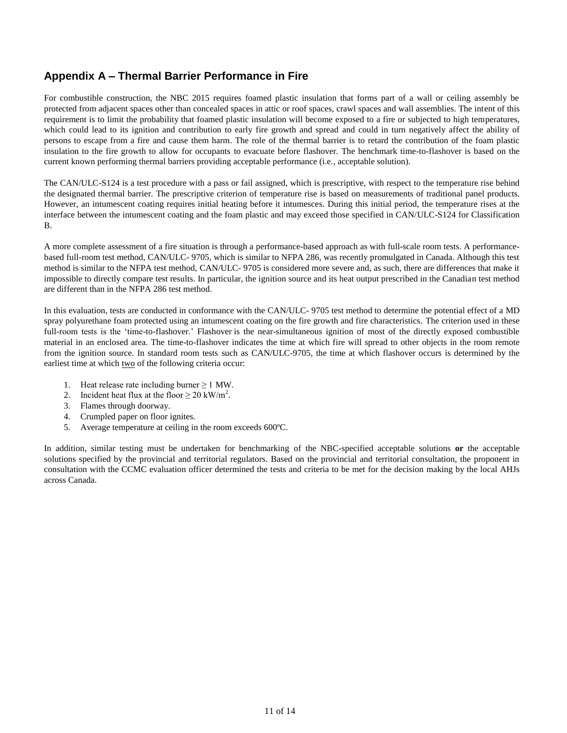## **Appendix A – Thermal Barrier Performance in Fire**

For combustible construction, the NBC 2015 requires foamed plastic insulation that forms part of a wall or ceiling assembly be protected from adjacent spaces other than concealed spaces in attic or roof spaces, crawl spaces and wall assemblies. The intent of this requirement is to limit the probability that foamed plastic insulation will become exposed to a fire or subjected to high temperatures, which could lead to its ignition and contribution to early fire growth and spread and could in turn negatively affect the ability of persons to escape from a fire and cause them harm. The role of the thermal barrier is to retard the contribution of the foam plastic insulation to the fire growth to allow for occupants to evacuate before flashover. The benchmark time-to-flashover is based on the current known performing thermal barriers providing acceptable performance (i.e., acceptable solution).

The CAN/ULC-S124 is a test procedure with a pass or fail assigned, which is prescriptive, with respect to the temperature rise behind the designated thermal barrier. The prescriptive criterion of temperature rise is based on measurements of traditional panel products. However, an intumescent coating requires initial heating before it intumesces. During this initial period, the temperature rises at the interface between the intumescent coating and the foam plastic and may exceed those specified in CAN/ULC-S124 for Classification B.

A more complete assessment of a fire situation is through a performance-based approach as with full-scale room tests. A performancebased full-room test method, CAN/ULC- 9705, which is similar to NFPA 286, was recently promulgated in Canada. Although this test method is similar to the NFPA test method, CAN/ULC- 9705 is considered more severe and, as such, there are differences that make it impossible to directly compare test results. In particular, the ignition source and its heat output prescribed in the Canadian test method are different than in the NFPA 286 test method.

In this evaluation, tests are conducted in conformance with the CAN/ULC- 9705 test method to determine the potential effect of a MD spray polyurethane foam protected using an intumescent coating on the fire growth and fire characteristics. The criterion used in these full-room tests is the 'time-to-flashover.' Flashover is the near-simultaneous ignition of most of the directly exposed combustible material in an enclosed area. The time-to-flashover indicates the time at which fire will spread to other objects in the room remote from the ignition source. In standard room tests such as CAN/ULC-9705, the time at which flashover occurs is determined by the earliest time at which two of the following criteria occur:

- 1. Heat release rate including burner  $\geq 1$  MW.
- 2. Incident heat flux at the floor  $\geq 20$  kW/m<sup>2</sup>.
- 3. Flames through doorway.
- 4. Crumpled paper on floor ignites.
- 5. Average temperature at ceiling in the room exceeds 600ºC.

In addition, similar testing must be undertaken for benchmarking of the NBC-specified acceptable solutions **or** the acceptable solutions specified by the provincial and territorial regulators. Based on the provincial and territorial consultation, the proponent in consultation with the CCMC evaluation officer determined the tests and criteria to be met for the decision making by the local AHJs across Canada.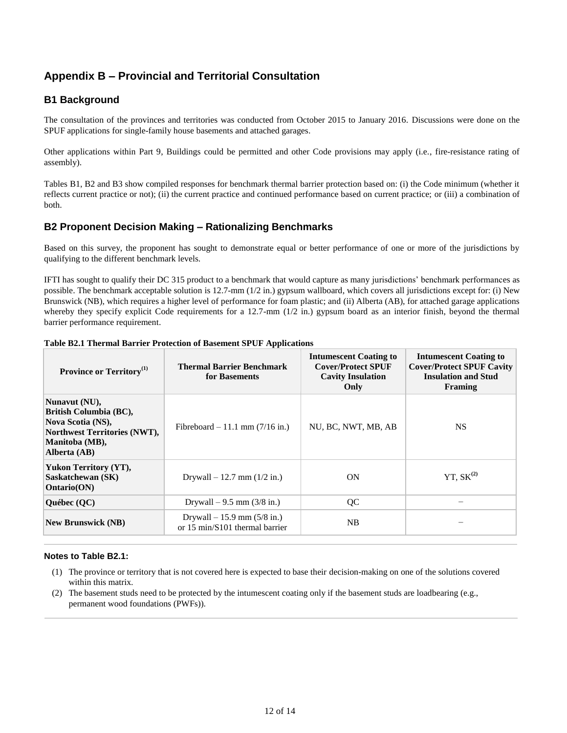# **Appendix B – Provincial and Territorial Consultation**

## **B1 Background**

The consultation of the provinces and territories was conducted from October 2015 to January 2016. Discussions were done on the SPUF applications for single-family house basements and attached garages.

Other applications within Part 9, Buildings could be permitted and other Code provisions may apply (i.e., fire-resistance rating of assembly).

Tables B1, B2 and B3 show compiled responses for benchmark thermal barrier protection based on: (i) the Code minimum (whether it reflects current practice or not); (ii) the current practice and continued performance based on current practice; or (iii) a combination of both.

## **B2 Proponent Decision Making – Rationalizing Benchmarks**

Based on this survey, the proponent has sought to demonstrate equal or better performance of one or more of the jurisdictions by qualifying to the different benchmark levels.

IFTI has sought to qualify their DC 315 product to a benchmark that would capture as many jurisdictions' benchmark performances as possible. The benchmark acceptable solution is 12.7-mm (1/2 in.) gypsum wallboard, which covers all jurisdictions except for: (i) New Brunswick (NB), which requires a higher level of performance for foam plastic; and (ii) Alberta (AB), for attached garage applications whereby they specify explicit Code requirements for a 12.7-mm  $(1/2 \text{ in.})$  gypsum board as an interior finish, beyond the thermal barrier performance requirement.

| Province or Territory <sup>(1)</sup>                                                                                                  | <b>Thermal Barrier Benchmark</b><br>for Basements                | <b>Intumescent Coating to</b><br><b>Cover/Protect SPUF</b><br><b>Cavity Insulation</b><br>Only | <b>Intumescent Coating to</b><br><b>Cover/Protect SPUF Cavity</b><br><b>Insulation and Stud</b><br>Framing |
|---------------------------------------------------------------------------------------------------------------------------------------|------------------------------------------------------------------|------------------------------------------------------------------------------------------------|------------------------------------------------------------------------------------------------------------|
| Nunavut (NU),<br>British Columbia (BC),<br>Nova Scotia (NS),<br><b>Northwest Territories (NWT),</b><br>Manitoba (MB),<br>Alberta (AB) | Fibreboard $-11.1$ mm (7/16 in.)                                 | NU, BC, NWT, MB, AB                                                                            | <b>NS</b>                                                                                                  |
| Yukon Territory (YT),<br>Saskatchewan (SK)<br>Ontario(ON)                                                                             | Drywall $-12.7$ mm $(1/2$ in.)                                   | <b>ON</b>                                                                                      | YT, $SK^{(2)}$                                                                                             |
| Québec (QC)                                                                                                                           | Drywall $-9.5$ mm (3/8 in.)                                      | QC                                                                                             |                                                                                                            |
| <b>New Brunswick (NB)</b>                                                                                                             | Drywall $-15.9$ mm $(5/8$ in.)<br>or 15 min/S101 thermal barrier | <b>NB</b>                                                                                      |                                                                                                            |

### **Table B2.1 Thermal Barrier Protection of Basement SPUF Applications**

### **Notes to Table B2.1:**

- (1) The province or territory that is not covered here is expected to base their decision-making on one of the solutions covered within this matrix.
- (2) The basement studs need to be protected by the intumescent coating only if the basement studs are loadbearing (e.g., permanent wood foundations (PWFs)).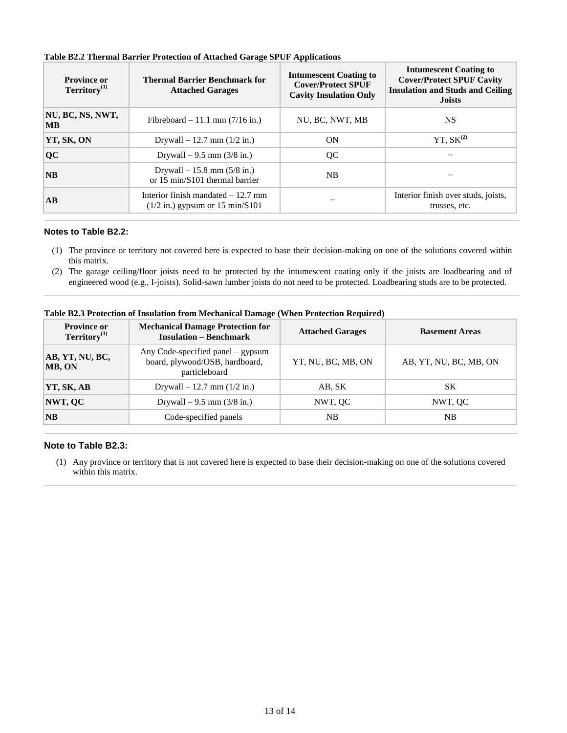| <b>Province or</b><br>$T$ erritory $(1)$ | <b>Thermal Barrier Benchmark for</b><br><b>Attached Garages</b>          | <b>Intumescent Coating to</b><br><b>Cover/Protect SPUF</b><br><b>Cavity Insulation Only</b> | <b>Intumescent Coating to</b><br><b>Cover/Protect SPUF Cavity</b><br><b>Insulation and Studs and Ceiling</b><br><b>Joists</b> |
|------------------------------------------|--------------------------------------------------------------------------|---------------------------------------------------------------------------------------------|-------------------------------------------------------------------------------------------------------------------------------|
| NU, BC, NS, NWT,<br><b>MB</b>            | Fibreboard – 11.1 mm $(7/16$ in.)                                        | NU, BC, NWT, MB                                                                             | NS.                                                                                                                           |
| YT, SK, ON                               | Drywall $-12.7$ mm $(1/2$ in.)                                           | ON                                                                                          | YT, $SK^{(2)}$                                                                                                                |
| <b>QC</b>                                | Drywall $-9.5$ mm $(3/8$ in.)                                            | QC                                                                                          |                                                                                                                               |
| NB                                       | Drywall $-15.8$ mm $(5/8$ in.)<br>or 15 min/S101 thermal barrier         | NB                                                                                          |                                                                                                                               |
| AB                                       | Interior finish mandated $-12.7$ mm<br>$(1/2$ in.) gypsum or 15 min/S101 |                                                                                             | Interior finish over studs, joists,<br>trusses, etc.                                                                          |

### **Table B2.2 Thermal Barrier Protection of Attached Garage SPUF Applications**

### **Notes to Table B2.2:**

- (1) The province or territory not covered here is expected to base their decision-making on one of the solutions covered within this matrix.
- (2) The garage ceiling/floor joists need to be protected by the intumescent coating only if the joists are loadbearing and of engineered wood (e.g., I-joists). Solid-sawn lumber joists do not need to be protected. Loadbearing studs are to be protected.

| <b>Province or</b><br>$T$ erritory $(1)$ | <b>Mechanical Damage Protection for</b><br><b>Insulation – Benchmark</b>             | <b>Attached Garages</b> | <b>Basement Areas</b>  |
|------------------------------------------|--------------------------------------------------------------------------------------|-------------------------|------------------------|
| AB, YT, NU, BC,<br>MB, ON                | Any Code-specified panel – gypsum<br>board, plywood/OSB, hardboard,<br>particleboard | YT, NU, BC, MB, ON      | AB, YT, NU, BC, MB, ON |
| YT, SK, AB                               | Drywall $-12.7$ mm $(1/2$ in.)                                                       | AB, SK                  | <b>SK</b>              |
| NWT, QC                                  | Drywall $-9.5$ mm (3/8 in.)                                                          | NWT, QC                 | NWT, QC                |
| $\overline{\bf NB}$                      | Code-specified panels                                                                | NB                      | NB                     |

**Table B2.3 Protection of Insulation from Mechanical Damage (When Protection Required)**

### **Note to Table B2.3:**

(1) Any province or territory that is not covered here is expected to base their decision-making on one of the solutions covered within this matrix.